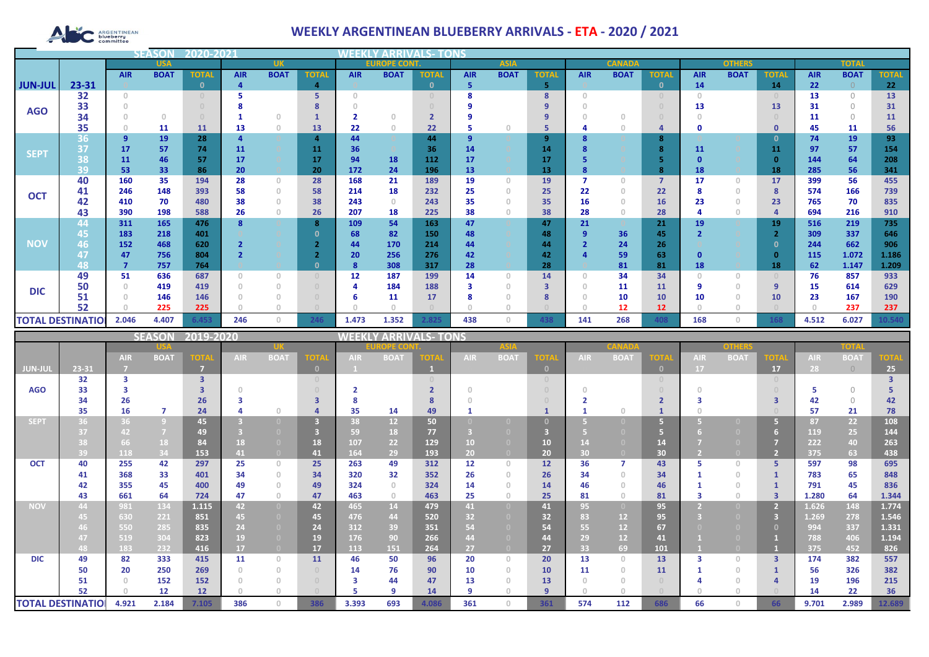# **ARGENTINEAN**

## **WEEKLY ARGENTINEAN BLUEBERRY ARRIVALS - ETA - 2020 / 2021**

| <b>USA</b>     |                          |            | <b>UK</b>   |                  |            | <b>EUROPE CONT.</b>                   |                                  |            |                              |              | <b>ASIA</b> |             |              | <b>CANADA</b> |                |                |            | <b>TOTAI</b> |              |            |             |              |
|----------------|--------------------------|------------|-------------|------------------|------------|---------------------------------------|----------------------------------|------------|------------------------------|--------------|-------------|-------------|--------------|---------------|----------------|----------------|------------|--------------|--------------|------------|-------------|--------------|
|                |                          | <b>AIR</b> | <b>BOAT</b> | <b>TOTAL</b>     | <b>AIR</b> | <b>BOAT</b>                           | <b>TOTAL</b>                     | <b>AIR</b> | <b>BOAT</b>                  | <b>TOTAL</b> | <b>AIR</b>  | <b>BOAT</b> | <b>TOTAL</b> | <b>AIR</b>    | <b>BOAT</b>    | <b>TOTAL</b>   | <b>AIR</b> | <b>BOAT</b>  | <b>TOTAL</b> | <b>AIR</b> | <b>BOAT</b> | <b>TOTAL</b> |
| <b>JUN-JUL</b> | 23-31                    |            |             |                  | 4          |                                       | 4                                |            |                              | $\mathbf{0}$ | 5           |             | 5            |               |                | $\mathbf{0}$   | 14         |              | 14           | 22         | 0           | 22           |
|                | 32                       | $\cup$     |             |                  |            |                                       | 5                                | $\Omega$   |                              |              | 8           |             | 8            | $\cup$        |                | $\overline{0}$ | $\bigcap$  |              |              | 13         | $\Omega$    | 13           |
| <b>AGO</b>     | 33                       |            |             |                  |            |                                       |                                  |            |                              |              |             |             | 9            |               |                |                | 13         |              | 13           | 31         | 0           | 31           |
|                | 34                       |            | $\Omega$    |                  |            | $\cap$                                |                                  | 2          | $\Box$                       |              |             |             | 9            |               |                |                |            |              |              | 11         | $\Omega$    | 11           |
|                | 35                       | $\Omega$   | 11          | 11               | 13         | $\Omega$                              | 13                               | 22         | $\Omega$                     | 22           | -5          | n           | 5            |               |                | 4              | O          |              | 0            | 45         | 11          | 56           |
|                | 36                       | 9          | 19          | 28               |            |                                       | 4                                | 44         |                              | 44           | -9          |             | 9            |               |                | 8              |            |              | 0            | 74         | 19          | 93           |
| <b>SEPT</b>    | 137                      | 17         | 57          | 74               | 11         |                                       | 11                               | 36         |                              | 36           | 14          |             | 14           |               |                | $\mathbf{R}$   | 11         |              | 11           | 97         | 57          | 154          |
|                | 38                       | 11         | 46          | -57              | 17         |                                       | 17                               | 94         | 18                           | 112          | 17          |             | 17           |               |                | 5              |            |              | $\Omega$     | 144        | 64          | 208          |
|                | 39                       | 53         | 33          | 86               | 20         |                                       | 20                               | 172        | 24                           | 196          | 13          |             | 13           |               |                | 8              | 18         |              | 18           | 285        | 56          | 341          |
| <b>OCT</b>     | 40                       | 160        | 35          | 194              | 28         | $\circ$                               | 28                               | 168        | 21                           | 189          | 19          | $\Omega$    | 19           |               | $\overline{0}$ | $\overline{7}$ | 17         | $\Omega$     | 17           | 399        | 56          | 455          |
|                | 41                       | 246        | 148         | 393              | 58         | $\theta$                              | 58                               | 214        | 18                           | 232          | 25          | $\Omega$    | 25           | 22            |                | 22             | я          | $\circ$      | 8            | 574        | 166         | 739          |
|                | 42                       | 410        | 70          | 480              | 38         | $\Omega$                              | 38                               | 243        | $\Omega$                     | 243          | 35          | $\Box$      | 35           | 16            | O              | 16             | 23         | $\Omega$     | 23           | 765        | 70          | 835          |
|                | 43                       | 390        | 198         | 588              | 26         | $\begin{array}{c} 0 \\ 0 \end{array}$ | 26                               | 207        | 18                           | 225          | 38          | $\Box$      | 38           | 28            | 0              | 28             |            | $\mathbf{0}$ |              | 694        | 216         | 910          |
|                | 44                       | 311        | 165         | 476              | 8          |                                       | 8                                | 109        | 54                           | 163          | 47          |             | 47           | 21            |                | 21             | 19         |              | 19           | 516        | 219         | 735          |
|                | 45                       | 183        | 218         | 401              |            |                                       |                                  | 68         | 82                           | 150          | 48          |             | 48           |               | 36             | 45             |            |              |              | 309        | 337         | 646          |
| <b>NOV</b>     | 46                       | 152        | 468         | 620              |            |                                       |                                  | 44         | 170                          | 214          | 44          |             | 44           |               | 24             | 26             |            |              | - 0          | 244        | 662         | 906          |
|                | 47                       | 47         | 756         | 804              |            |                                       |                                  | 20         | 256                          | 276          | 42          |             | 42           |               | 59             | 63             | $\Omega$   |              | $\mathbf{0}$ | 115        | 1.072       | 1.186        |
|                | 48                       | 7          | 757         | 764              |            |                                       | $\Omega$                         | 8          | 308                          | 317          | 28          |             | 28           |               | 81             | 81             | 18         |              | 18           | 62         | 1.147       | 1.209        |
|                | 49                       | 51         | 636         | 687              |            | $\Omega$                              | $\begin{array}{c} 0 \end{array}$ | 12         | 187                          | 199          | 14          | $\Omega$    | 14           |               | 34             | 34             | $\cap$     | $\Omega$     |              | 76         | 857         | 933          |
| <b>DIC</b>     | 50                       | $\Omega$   | 419         | 419              |            | $\circ$                               | $\cup$                           | 4          | 184                          | 188          | 3           | $\Omega$    | 3            |               | 11             | 11             |            | $\circ$      | <b>g</b>     | 15         | 614         | 629          |
|                | 51                       |            | 146         | 146              |            | $\Omega$                              | $\cup$                           |            | 11                           | 17           |             |             | 8            |               | 10             | 10             |            | $\mathbf{0}$ | 10           | 23         | 167         | 190          |
|                | 52                       |            | 225         | 225              |            | $\cap$                                |                                  | $\cap$     |                              |              | $\cap$      |             |              |               | 12             | 12             |            | n            |              |            | 237         | 237          |
|                | <b>TOTAL DESTINATIOI</b> | 2.046      | 4.407       | 6.453            | 246        | $\circ$                               | 246                              | 1.473      | 1.352                        | 2.825        | 438         | $\Omega$    | 438          | 141           | 268            | 408            | 168        | $\circ$      | 168          | 4.512      | 6.027       | 10.540       |
|                |                          |            |             | SEASON 2019-2020 |            |                                       |                                  |            | <b>WEEKLY ARRIVALS- TONS</b> |              |             |             |              |               |                |                |            |              |              |            |             |              |

|             |                          |            | <b>SEASON</b>  | 2019-2020         |            |                                       |              | WEEKI          |                 | LY ARRIVALS- TONS |            |                                  |              |            |                   |                                  |            |             |                |            |             |        |
|-------------|--------------------------|------------|----------------|-------------------|------------|---------------------------------------|--------------|----------------|-----------------|-------------------|------------|----------------------------------|--------------|------------|-------------------|----------------------------------|------------|-------------|----------------|------------|-------------|--------|
|             |                          |            |                |                   |            |                                       |              | <b>OPE COI</b> |                 |                   |            |                                  |              |            |                   |                                  |            | TOTA        |                |            |             |        |
|             |                          | <b>AIR</b> | <b>BOAT</b>    | <b>TOTA</b>       | <b>AIR</b> | <b>BOAT</b>                           | <b>OTA</b>   | <b>AIR</b>     | <b>BOAT</b>     | OTA               | <b>AIR</b> | <b>BOAT</b>                      | ют           | <b>AIR</b> | <b>BOA</b>        | TOTA                             | <b>AIR</b> | <b>BOAT</b> | <b>OTA</b>     | <b>AIR</b> | <b>BOAT</b> | TOTA   |
| JUN-JUI     | 23-31                    |            |                | ۰,                |            |                                       | $\mathbf{0}$ |                |                 |                   |            |                                  |              |            |                   | $\mathbf{0}$                     | 17         |             | 17             | 28         | $\bigcirc$  | 25     |
|             | 32                       | з          |                | 3                 |            |                                       | $\cup$       |                |                 |                   |            |                                  |              |            |                   | $\begin{array}{c} 0 \end{array}$ |            |             |                |            |             |        |
| <b>AGO</b>  | 33                       |            |                |                   |            |                                       |              |                |                 |                   |            |                                  |              |            |                   |                                  |            |             |                |            | $\bigcap$   |        |
|             | 34                       | 26         |                | 26                |            |                                       |              |                |                 |                   |            |                                  |              |            |                   |                                  |            |             |                | 42         | $\Omega$    | 42     |
|             | 35                       | 16         | $\overline{7}$ | 24                |            | $\cap$                                |              | 35             | 14              | 49                |            |                                  |              |            |                   |                                  |            |             |                | 57         | 21          | 78     |
| <b>SEPT</b> | 36                       | 36         | $\overline{9}$ | 45                |            | n                                     |              | 38             | 12 <sup>7</sup> | 50                |            |                                  |              |            |                   |                                  |            |             | Б.             | 87         | 22          | 108    |
|             | 37                       | 42         | $\overline{7}$ | 49                |            |                                       |              | 59             | 18              | 77                |            |                                  |              |            |                   |                                  |            |             |                | 119        | 25          | 144    |
|             |                          | 66         | 18             | 84                | 18         | $\Box$                                | 18           | 107            | 22              | 129               | 10         | $\Box$                           | 10           |            |                   | 14                               |            |             |                | 222        | 40          | 263    |
|             | 39                       | 118        | 34             | 153               | 41         | $\overline{0}$                        | 41           | 164            | 29              | 193               | 20         | $\Box$                           | 20           | 30         | $\Box$            | 30 <sub>2</sub>                  |            |             | $\overline{2}$ | 375        | 63          | 438    |
| <b>OCT</b>  | 40                       | 255        | 42             | 297               | 25         | $\circ$                               | 25           | 263            | 49              | 312               | 12         | $\begin{array}{c} 0 \end{array}$ | 12           | 36         |                   | 43                               |            | $\Omega$    | 5.             | 597        | 98          | 695    |
|             | 41                       | 368        | 33             | 401               | 34         | $\begin{array}{c} 0 \\ 0 \end{array}$ | 34           | 320            | 32              | 352               | 26         | $\Omega$                         | 26           | 34         | O.                | 34                               |            | $\Omega$    |                | 783        | 65          | 848    |
|             | 42                       | 355        | 45             | 400               | 49         | $\Omega$                              | 49           | 324            | $\Omega$        | 324               | 14         |                                  | 14           | 46         |                   | 46                               |            |             |                | 791        | 45          | 836    |
|             | 43                       | 661        | 64             | 724               | 47         | $\circ$                               | 47           | 463            | $\Omega$        | 463               | 25         | $\Box$                           | 25           | 81         | 0                 | 81                               |            | $\cup$      | $\mathbf{3}$   | 1.280      | 64          | 1.344  |
| <b>NOV</b>  | 44                       | 981        | 134            | 1.115             | 42         | $\overline{0}$                        | 42           | 465            | 14              | 479               | 41         | $\overline{0}$                   | 41           | 95         | $\left( 0\right)$ | 95                               |            | $\Box$      | $\overline{2}$ | 1.626      | 148         | 1.774  |
|             |                          | 630        | 221            | 851               | 45         | $\overline{0}$                        | 45           | 476            | 44              | 520               | 32         |                                  | 32           | 83         | 12                | 95                               |            |             | 3              | 1.269      | 278         | 1.546  |
|             |                          | 550        | 285            | 835               | 24         | $\overline{0}$                        | 24           | 312            | 39              | 351               | 54         |                                  | 54           | 55         | 12                | 67                               |            |             | $\Omega$       | 994        | 337         | 1.331  |
|             | 47                       | 519        | 304            | 823               | 19         |                                       | 19           | 176            | 90              | 266               | 44         |                                  | 44           | 29         | 12 <sub>2</sub>   | 41                               |            |             |                | 788        | 406         | 1.194  |
|             | 48                       | 183        | 232            | 416               | 17         | $\overline{0}$                        | 17           | 113            | 151             | 264               | 27         | $\Box$                           | 27           | 33         | 69                | 101                              |            |             |                | 375        | 452         | 826    |
| <b>DIC</b>  | 49                       | 82         | 333            | 415               | 11         | $\circ$                               | 11           | 46             | 50              | 96                | 20         | $\begin{array}{c} 0 \end{array}$ | 20           | 13         | $\Omega$          | 13                               |            | $\Omega$    | $\overline{3}$ | 174        | 382         | 557    |
|             | 50                       | 20         | 250            | 269               |            | $\begin{array}{c} 0 \\ 0 \end{array}$ | $\Box$       | 14             | 76              | 90                | 10         | $\cap$                           | 10           | 11         |                   | 11                               |            |             |                | 56         | 326         | 382    |
|             | 51                       |            | 152            | 152               |            | $\begin{array}{c} 0 \\ 0 \end{array}$ | $\cup$       | з              | 44              | 47                | 13         |                                  | 13           |            |                   | $\cap$                           |            |             |                | 19         | 196         | 215    |
|             | 52                       |            | 12             | $12 \overline{ }$ |            | $\cap$                                |              |                | Q               | 14                | -9         |                                  | $\mathbf{q}$ |            |                   |                                  |            |             |                | 14         | 22          | 36     |
|             | <b>TOTAL DESTINATIOI</b> | 4.921      | 2.184          | 7.105             | 386        | $\Omega$                              | 386          | 3.393          | 693             | 4.086             | 361        | $\Box$                           | 361          | 574        | 112               | 686                              | 66         |             | 66             | 9.701      | 2.989       | 12.689 |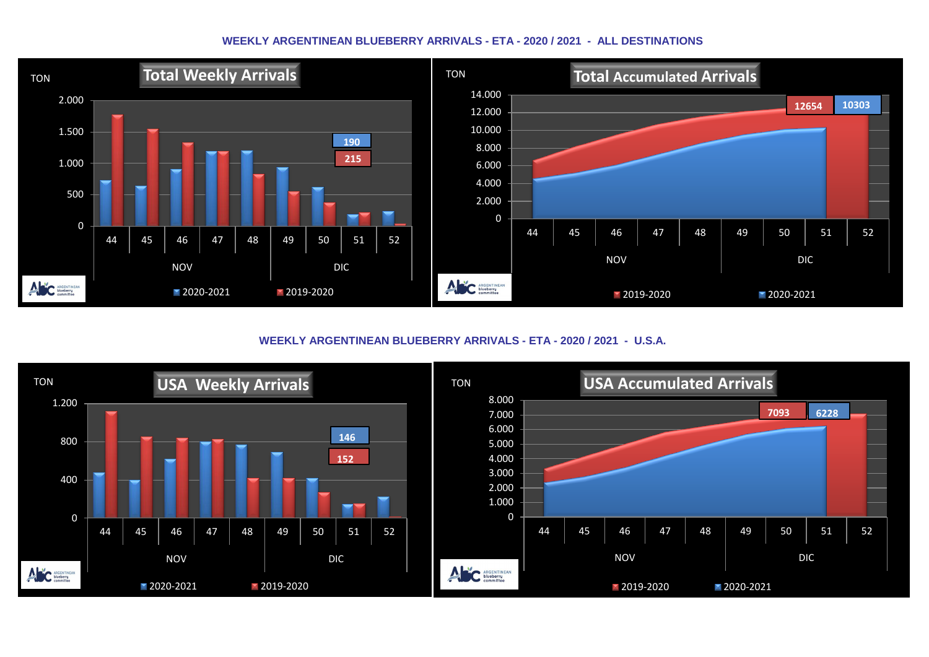#### **WEEKLY ARGENTINEAN BLUEBERRY ARRIVALS - ETA - 2020 / 2021 - ALL DESTINATIONS**



**WEEKLY ARGENTINEAN BLUEBERRY ARRIVALS - ETA - 2020 / 2021 - U.S.A.**

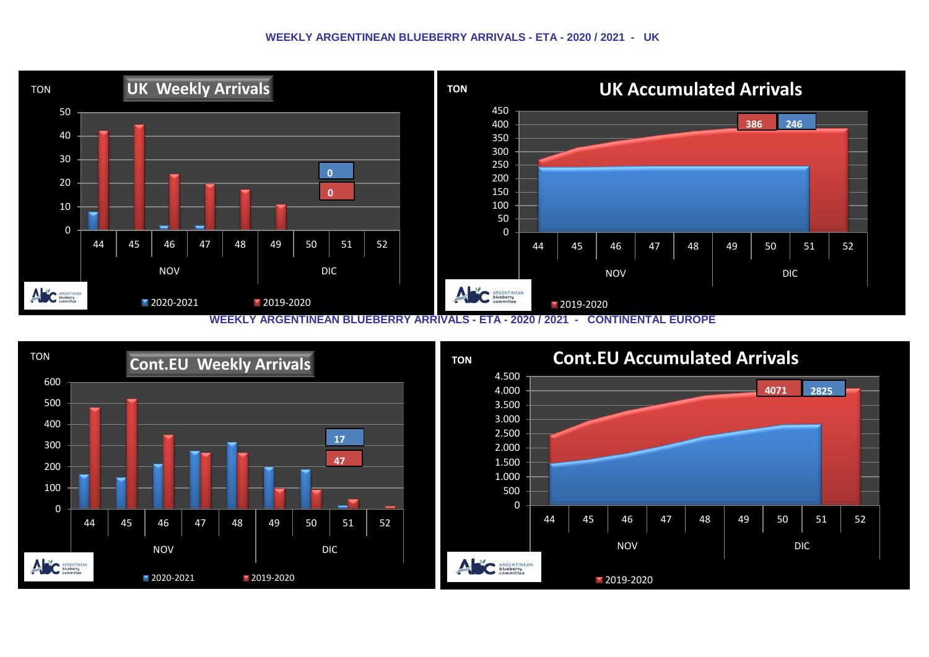#### **WEEKLY ARGENTINEAN BLUEBERRY ARRIVALS - ETA - 2020 / 2021 - UK**



**TON Cont.EU Accumulated Arrivals**